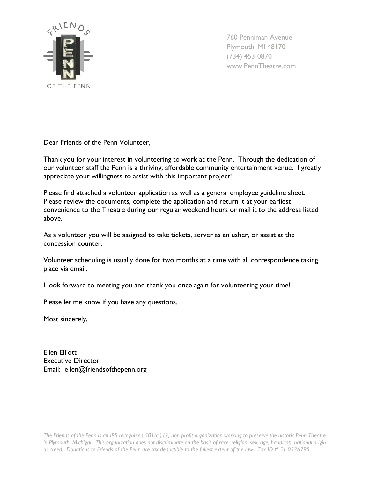

760 Penniman Avenue Plymouth, MI 48170 (734) 453-0870 www.PennTheatre.com

Dear Friends of the Penn Volunteer,

Thank you for your interest in volunteering to work at the Penn. Through the dedication of our volunteer staff the Penn is a thriving, affordable community entertainment venue. I greatly appreciate your willingness to assist with this important project!

Please find attached a volunteer application as well as a general employee guideline sheet. Please review the documents, complete the application and return it at your earliest convenience to the Theatre during our regular weekend hours or mail it to the address listed above.

As a volunteer you will be assigned to take tickets, server as an usher, or assist at the concession counter.

Volunteer scheduling is usually done for two months at a time with all correspondence taking place via email.

I look forward to meeting you and thank you once again for volunteering your time!

Please let me know if you have any questions.

Most sincerely,

Ellen Elliott Executive Director Email: ellen@friendsofthepenn.org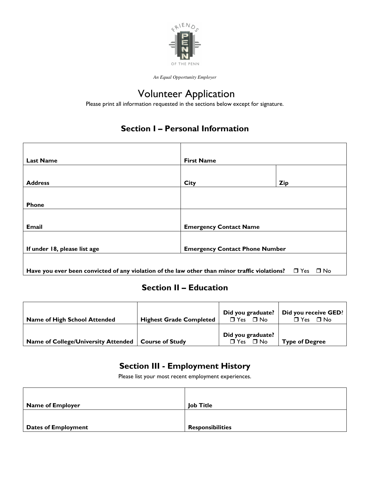

*An Equal Opportunity Employer* 

# Volunteer Application

Please print all information requested in the sections below except for signature.

## Section I – Personal Information

| <b>Last Name</b>             | <b>First Name</b>                     |            |
|------------------------------|---------------------------------------|------------|
|                              |                                       |            |
| <b>Address</b>               | <b>City</b>                           | <b>Zip</b> |
|                              |                                       |            |
| Phone                        |                                       |            |
|                              |                                       |            |
| Email                        | <b>Emergency Contact Name</b>         |            |
|                              |                                       |            |
| If under 18, please list age | <b>Emergency Contact Phone Number</b> |            |
|                              |                                       |            |
|                              |                                       |            |

Have you ever been convicted of any violation of the law other than minor traffic violations?  $\Box$  Yes  $\Box$  No

## Section II – Education

| <b>Name of High School Attended</b>                   | <b>Highest Grade Completed</b> | Did you graduate?<br>$\Box$ Yes $\Box$ No | Did you receive GED?<br>$\Box$ No<br>$\Box$ Yes |
|-------------------------------------------------------|--------------------------------|-------------------------------------------|-------------------------------------------------|
| Name of College/University Attended   Course of Study |                                | Did you graduate?<br>$\Box$ Yes $\Box$ No | <b>Type of Degree</b>                           |

## Section III - Employment History

Please list your most recent employment experiences.

| <b>Name of Employer</b>    | <b>Job Title</b>        |
|----------------------------|-------------------------|
|                            |                         |
| <b>Dates of Employment</b> | <b>Responsibilities</b> |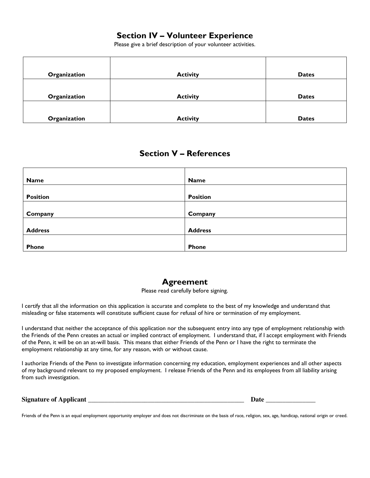#### Section IV – Volunteer Experience

Please give a brief description of your volunteer activities.

| Organization | <b>Activity</b> | <b>Dates</b> |
|--------------|-----------------|--------------|
| Organization | <b>Activity</b> | <b>Dates</b> |
| Organization | <b>Activity</b> | <b>Dates</b> |

#### Section V – References

| <b>Name</b>     | <b>Name</b>     |
|-----------------|-----------------|
|                 |                 |
| <b>Position</b> | <b>Position</b> |
|                 |                 |
| Company         | Company         |
|                 |                 |
| <b>Address</b>  | <b>Address</b>  |
|                 |                 |
| <b>Phone</b>    | <b>Phone</b>    |

#### Agreement

Please read carefully before signing.

I certify that all the information on this application is accurate and complete to the best of my knowledge and understand that misleading or false statements will constitute sufficient cause for refusal of hire or termination of my employment.

I understand that neither the acceptance of this application nor the subsequent entry into any type of employment relationship with the Friends of the Penn creates an actual or implied contract of employment. I understand that, if I accept employment with Friends of the Penn, it will be on an at-will basis. This means that either Friends of the Penn or I have the right to terminate the employment relationship at any time, for any reason, with or without cause.

I authorize Friends of the Penn to investigate information concerning my education, employment experiences and all other aspects of my background relevant to my proposed employment. I release Friends of the Penn and its employees from all liability arising from such investigation.

| <b>Signature of Applicant</b> |  |
|-------------------------------|--|
|                               |  |

Friends of the Penn is an equal employment opportunity employer and does not discriminate on the basis of race, religion, sex, age, handicap, national origin or creed.